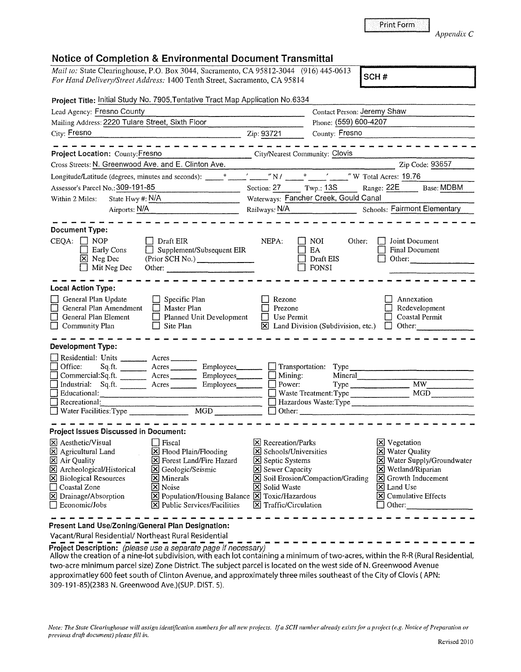Print Form

*Appendix* C

## **Notice of Completion & Environmental Document Transmittal**

*Mail to:* State Clearinghouse, P.O. Box 3044, Sacramento, CA 95812-3044 (916) 445-0613 *For Hand Delivery/Street Address:* 1400 Tenth Street, Sacramento, CA 95814

| Project Title: Initial Study No. 7905, Tentative Tract Map Application No.6334                                                                                                                                                                                                                                                                                                                                                                                                                                                          |                                                                                                             |                                                                                                                                                                                                                                                                                                                     |                                                                                                                                                                                                                          |
|-----------------------------------------------------------------------------------------------------------------------------------------------------------------------------------------------------------------------------------------------------------------------------------------------------------------------------------------------------------------------------------------------------------------------------------------------------------------------------------------------------------------------------------------|-------------------------------------------------------------------------------------------------------------|---------------------------------------------------------------------------------------------------------------------------------------------------------------------------------------------------------------------------------------------------------------------------------------------------------------------|--------------------------------------------------------------------------------------------------------------------------------------------------------------------------------------------------------------------------|
| Lead Agency: Fresno County                                                                                                                                                                                                                                                                                                                                                                                                                                                                                                              |                                                                                                             | Contact Person: Jeremy Shaw                                                                                                                                                                                                                                                                                         |                                                                                                                                                                                                                          |
| Mailing Address: 2220 Tulare Street, Sixth Floor                                                                                                                                                                                                                                                                                                                                                                                                                                                                                        |                                                                                                             | Phone: (559) 600-4207                                                                                                                                                                                                                                                                                               |                                                                                                                                                                                                                          |
| City: Fresno                                                                                                                                                                                                                                                                                                                                                                                                                                                                                                                            | Zip: 93721                                                                                                  | County: Fresno                                                                                                                                                                                                                                                                                                      |                                                                                                                                                                                                                          |
| ---------------------                                                                                                                                                                                                                                                                                                                                                                                                                                                                                                                   |                                                                                                             |                                                                                                                                                                                                                                                                                                                     | -----------------                                                                                                                                                                                                        |
| City/Nearest Community: Clovis<br>Project Location: County: Fresno                                                                                                                                                                                                                                                                                                                                                                                                                                                                      |                                                                                                             | $\frac{1}{2}$ . The contract of the contract of $\frac{1}{2}$                                                                                                                                                                                                                                                       |                                                                                                                                                                                                                          |
| Cross Streets: N. Greenwood Ave. and E. Clinton Ave.                                                                                                                                                                                                                                                                                                                                                                                                                                                                                    |                                                                                                             |                                                                                                                                                                                                                                                                                                                     | Zip Code: 93657                                                                                                                                                                                                          |
| Longitude/Latitude (degrees, minutes and seconds):                                                                                                                                                                                                                                                                                                                                                                                                                                                                                      |                                                                                                             | $\frac{1}{2}$ $\frac{1}{2}$ $\frac{1}{2}$ $\frac{1}{2}$ $\frac{1}{2}$ $\frac{1}{2}$ $\frac{1}{2}$ $\frac{1}{2}$ $\frac{1}{2}$ $\frac{1}{2}$ $\frac{1}{2}$ $\frac{1}{2}$ $\frac{1}{2}$ $\frac{1}{2}$ $\frac{1}{2}$ $\frac{1}{2}$ $\frac{1}{2}$ $\frac{1}{2}$ $\frac{1}{2}$ $\frac{1}{2}$ $\frac{1}{2}$ $\frac{1}{2}$ |                                                                                                                                                                                                                          |
| Assessor's Parcel No.: 309-191-85<br>$\frac{1}{2}$ . The contract of the contract of the contract of the contract of the contract of the contract of the contract of the contract of the contract of the contract of the contract of the contract of the contract of t                                                                                                                                                                                                                                                                  | Section: $27$ Twp.: 13S                                                                                     |                                                                                                                                                                                                                                                                                                                     | Range: 22E Base: MDBM                                                                                                                                                                                                    |
| State Hwy #: N/A<br>Within 2 Miles:                                                                                                                                                                                                                                                                                                                                                                                                                                                                                                     |                                                                                                             | Waterways: Fancher Creek, Gould Canal                                                                                                                                                                                                                                                                               |                                                                                                                                                                                                                          |
| Airports: N/A                                                                                                                                                                                                                                                                                                                                                                                                                                                                                                                           |                                                                                                             |                                                                                                                                                                                                                                                                                                                     | Railways: N/A<br>Schools: Fairmont Elementary                                                                                                                                                                            |
| <b>Document Type:</b><br>$CEQA: \Box NP$<br>$\Box$ Draft EIR<br>$\Box$ Supplement/Subsequent EIR<br>Early Cons<br>$X$ Neg Dec<br>(Prior SCH No.)<br>$\Box$ Mit Neg Dec<br>Other:                                                                                                                                                                                                                                                                                                                                                        | NEPA:                                                                                                       | NOI.<br>Other:<br><b>EA</b><br>Draft EIS<br>$\Box$ FONSI                                                                                                                                                                                                                                                            | Joint Document<br><b>Final Document</b><br>$\Box$<br>Other:                                                                                                                                                              |
| <b>Local Action Type:</b>                                                                                                                                                                                                                                                                                                                                                                                                                                                                                                               |                                                                                                             |                                                                                                                                                                                                                                                                                                                     |                                                                                                                                                                                                                          |
| General Plan Update<br>$\Box$ Specific Plan<br>General Plan Amendment<br>Master Plan<br>General Plan Element<br>$\Box$ Planned Unit Development<br>$\Box$ Site Plan<br>Community Plan                                                                                                                                                                                                                                                                                                                                                   | Rezone<br>Prezone<br>Use Permit<br>$\Box$                                                                   |                                                                                                                                                                                                                                                                                                                     | Annexation<br>Redevelopment<br><b>Coastal Permit</b><br>$\boxtimes$ Land Division (Subdivision, etc.) $\Box$ Other:                                                                                                      |
| <b>Development Type:</b>                                                                                                                                                                                                                                                                                                                                                                                                                                                                                                                |                                                                                                             |                                                                                                                                                                                                                                                                                                                     |                                                                                                                                                                                                                          |
| Residential: Units _________ Acres _______<br>Sq.ft. ________ Acres _________ Employees________ _ _ Transportation: Type ____<br>Office:<br>Commercial:Sq.ft. <u>Acres</u> Acres Employees<br>Industrial: Sq.ft. Acres Employees                                                                                                                                                                                                                                                                                                        | $\Box$ Mining:<br>Power:                                                                                    | Mineral<br>Type<br>Waste Treatment: Type                                                                                                                                                                                                                                                                            | <b>MW</b><br>MGD                                                                                                                                                                                                         |
| <b>Project Issues Discussed in Document:</b>                                                                                                                                                                                                                                                                                                                                                                                                                                                                                            |                                                                                                             |                                                                                                                                                                                                                                                                                                                     |                                                                                                                                                                                                                          |
| $\boxtimes$ Aesthetic/Visual<br>  Fiscal<br>$[\times]$ Flood Plain/Flooding<br>$\boxtimes$ Agricultural Land<br>X Air Quality<br>X Forest Land/Fire Hazard<br>X Archeological/Historical<br>S Geologic/Seismic<br>$\Sigma$ Biological Resources<br>$ \mathsf{X} $ Minerals<br>□ Coastal Zone<br>X Noise<br>X Population/Housing Balance X Toxic/Hazardous<br>X Drainage/Absorption<br>$[\times]$ Public Services/Facilities $[\times]$ Traffic/Circulation<br>$\Box$ Economic/Jobs<br>Present Land Use/Zoning/General Plan Designation: | X Recreation/Parks<br>$\boxtimes$ Schools/Universities<br>Septic Systems<br>Sewer Capacity<br>X Solid Waste | Soil Erosion/Compaction/Grading                                                                                                                                                                                                                                                                                     | $\mathbf{X}$ Vegetation<br><b>X</b> Water Quality<br>Water Supply/Groundwater<br>$\times$ Wetland/Riparian<br>$\boxed{\mathsf{X}}$ Growth Inducement<br>X Land Use<br>$ \mathsf{X} $ Cumulative Effects<br>$\Box$ Other: |
|                                                                                                                                                                                                                                                                                                                                                                                                                                                                                                                                         |                                                                                                             |                                                                                                                                                                                                                                                                                                                     |                                                                                                                                                                                                                          |

Vacant/Rural Residential/ Northeast Rural Residential

**Project Description:** (please use a separate page if necessary)

Allow the creation of a nine-lot subdivision, with each lot containing a minimum of two-acres, within the R-R (Rural Residential, two-acre minimum parcel size) Zone District. The subject parcel is located on the west side of N. Greenwood Avenue approximatley 600 feet south of Clinton Avenue, and approximately three miles southeast of the City of Clovis ( APN: 309-191-85)(2383 N. Greenwood Ave.)(SUP. DIST. 5).

Note: The State Clearinghouse will assign identification numbers for all new projects. If a SCH number already exists for a project (e.g. Notice of Preparation or *previous draft dornment) please.fill in.*